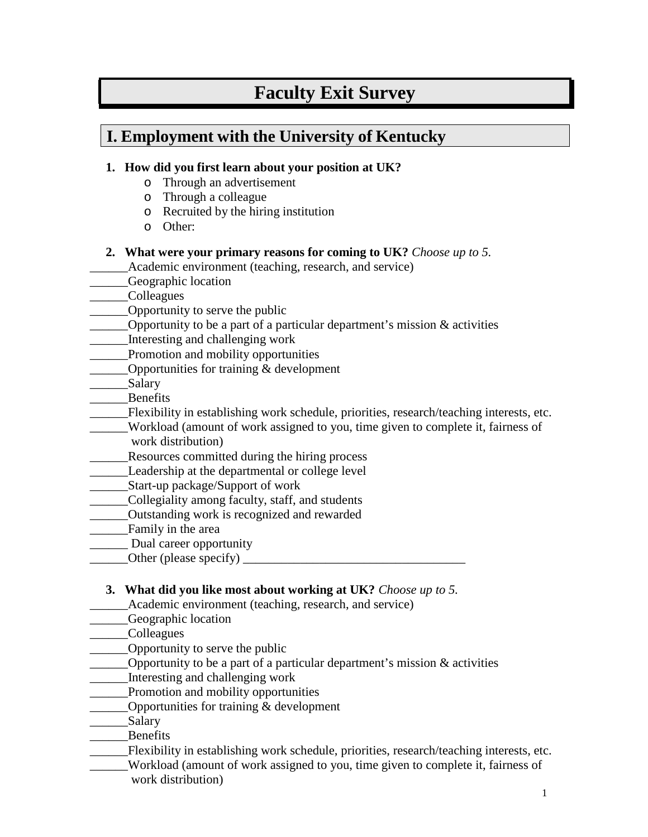# **Faculty Exit Survey**

## **I. Employment with the University of Kentucky**

#### **1. How did you first learn about your position at UK?**

- o Through an advertisement
- o Through a colleague
- o Recruited by the hiring institution
- o Other:
- **2. What were your primary reasons for coming to UK?** *Choose up to 5.*

Academic environment (teaching, research, and service)

- Geographic location
- \_\_\_\_\_\_Colleagues
- \_\_\_\_\_\_Opportunity to serve the public
- Opportunity to be a part of a particular department's mission  $\&$  activities
- \_\_\_\_\_\_Interesting and challenging work
- \_\_\_\_\_\_Promotion and mobility opportunities
- \_\_\_\_\_\_Opportunities for training & development
- Salary
- \_\_\_\_\_\_Benefits
- \_\_\_\_\_\_Flexibility in establishing work schedule, priorities, research/teaching interests, etc.
- \_\_\_\_\_\_Workload (amount of work assigned to you, time given to complete it, fairness of work distribution)
- Resources committed during the hiring process
- \_\_\_\_\_\_Leadership at the departmental or college level
- \_\_\_\_\_\_Start-up package/Support of work
- \_\_\_\_\_\_Collegiality among faculty, staff, and students
- \_\_\_\_\_\_Outstanding work is recognized and rewarded
- \_\_\_\_\_\_Family in the area
- Dual career opportunity
- Other (please specify)  $\Box$

#### **3. What did you like most about working at UK?** *Choose up to 5.*

- Academic environment (teaching, research, and service)
- \_\_\_\_\_\_Geographic location
- \_\_\_\_\_\_Colleagues
- \_\_\_\_\_\_Opportunity to serve the public
- Opportunity to be a part of a particular department's mission  $\&$  activities
- \_\_\_\_\_\_Interesting and challenging work
- \_\_\_\_\_\_Promotion and mobility opportunities
- Opportunities for training  $&$  development
- \_\_\_\_\_\_Salary
- \_\_\_\_\_\_Benefits
- \_\_\_\_\_\_Flexibility in establishing work schedule, priorities, research/teaching interests, etc.
- \_\_\_\_\_\_Workload (amount of work assigned to you, time given to complete it, fairness of work distribution)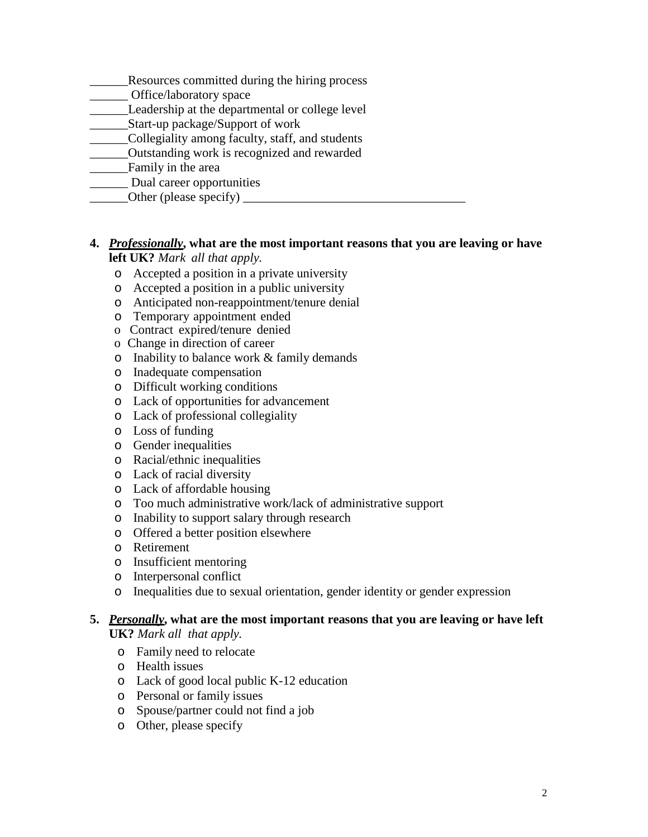- \_\_\_\_\_\_Resources committed during the hiring process
- Office/laboratory space
- **Leadership at the departmental or college level**
- \_\_\_\_\_\_Start-up package/Support of work
- \_\_\_\_\_\_Collegiality among faculty, staff, and students
- \_\_\_\_\_\_Outstanding work is recognized and rewarded
- \_\_\_\_\_\_Family in the area
- Dual career opportunities
	- \_\_\_\_\_\_Other (please specify) \_\_\_\_\_\_\_\_\_\_\_\_\_\_\_\_\_\_\_\_\_\_\_\_\_\_\_\_\_\_\_\_\_\_\_

#### **4.** *Professionally***, what are the most important reasons that you are leaving or have left UK?** *Mark all that apply.*

- o Accepted a position in a private university
- o Accepted a position in a public university
- o Anticipated non-reappointment/tenure denial
- o Temporary appointment ended
- o Contract expired/tenure denied
- o Change in direction of career
- o Inability to balance work & family demands
- o Inadequate compensation
- o Difficult working conditions
- o Lack of opportunities for advancement
- o Lack of professional collegiality
- o Loss of funding
- o Gender inequalities
- o Racial/ethnic inequalities
- o Lack of racial diversity
- o Lack of affordable housing
- o Too much administrative work/lack of administrative support
- o Inability to support salary through research
- o Offered a better position elsewhere
- o Retirement
- o Insufficient mentoring
- o Interpersonal conflict
- o Inequalities due to sexual orientation, gender identity or gender expression

#### **5.** *Personally***, what are the most important reasons that you are leaving or have left UK?** *Mark all that apply.*

- o Family need to relocate
- o Health issues
- o Lack of good local public K-12 education
- o Personal or family issues
- o Spouse/partner could not find a job
- o Other, please specify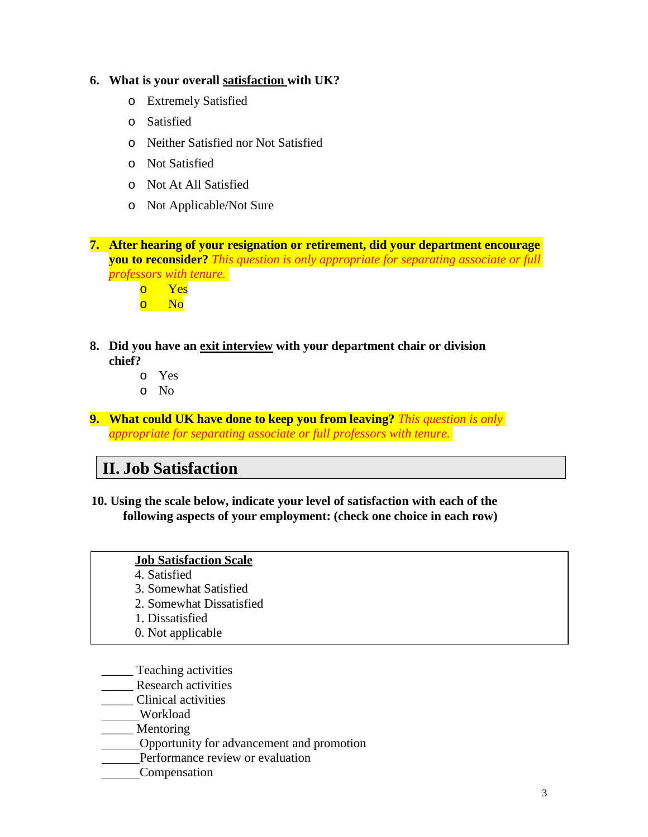#### **6. What is your overall satisfaction with UK?**

- o Extremely Satisfied
- o Satisfied
- o Neither Satisfied nor Not Satisfied
- o Not Satisfied
- o Not At All Satisfied
- o Not Applicable/Not Sure

**7. After hearing of your resignation or retirement, did your department encourage you to reconsider?** *This question is only appropriate for separating associate or full professors with tenure.*



- **8. Did you have an exit interview with your department chair or division chief?**
	- o Yes
	- o No
- **9. What could UK have done to keep you from leaving?** *This question is only appropriate for separating associate or full professors with tenure.*

### **II. Job Satisfaction**

**10. Using the scale below, indicate your level of satisfaction with each of the following aspects of your employment: (check one choice in each row)**

#### **Job Satisfaction Scale**

- 4. Satisfied
- 3. Somewhat Satisfied
- 2. Somewhat Dissatisfied
- 1. Dissatisfied
- 0. Not applicable
- \_\_\_\_\_ Teaching activities
- \_\_\_\_\_ Research activities
- \_\_\_\_\_ Clinical activities
- Workload
- \_\_\_\_\_ Mentoring
- Opportunity for advancement and promotion
- Performance review or evaluation
- Compensation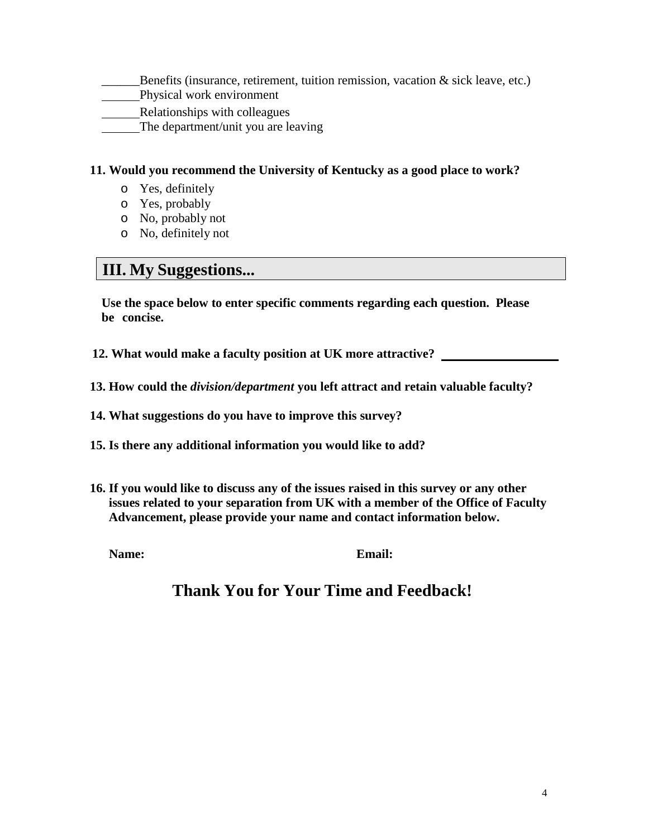- Benefits (insurance, retirement, tuition remission, vacation  $\&$  sick leave, etc.)
- Physical work environment
- Relationships with colleagues
- The department/unit you are leaving

#### **11. Would you recommend the University of Kentucky as a good place to work?**

- o Yes, definitely
- o Yes, probably
- o No, probably not
- o No, definitely not

### **III. My Suggestions...**

**Use the space below to enter specific comments regarding each question. Please be concise.**

- **12. What would make a faculty position at UK more attractive?**
- **13. How could the** *division/department* **you left attract and retain valuable faculty?**
- **14. What suggestions do you have to improve this survey?**
- **15. Is there any additional information you would like to add?**
- **16. If you would like to discuss any of the issues raised in this survey or any other issues related to your separation from UK with a member of the Office of Faculty Advancement, please provide your name and contact information below.**

**Name: Email:**

## **Thank You for Your Time and Feedback!**